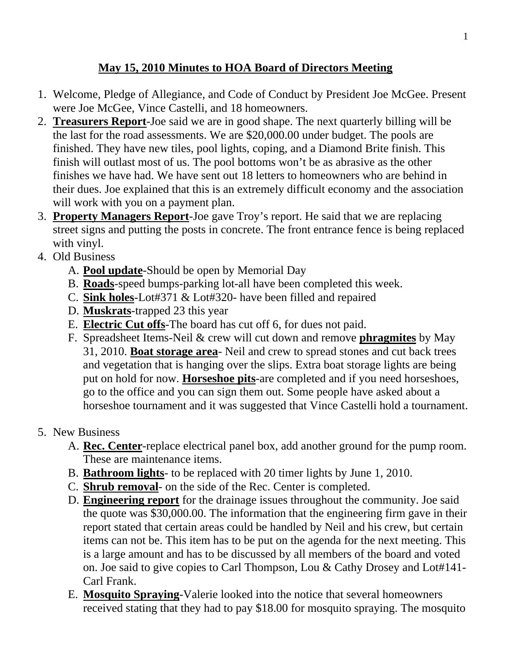## **May 15, 2010 Minutes to HOA Board of Directors Meeting**

- 1. Welcome, Pledge of Allegiance, and Code of Conduct by President Joe McGee. Present were Joe McGee, Vince Castelli, and 18 homeowners.
- 2. **Treasurers Report**-Joe said we are in good shape. The next quarterly billing will be the last for the road assessments. We are \$20,000.00 under budget. The pools are finished. They have new tiles, pool lights, coping, and a Diamond Brite finish. This finish will outlast most of us. The pool bottoms won't be as abrasive as the other finishes we have had. We have sent out 18 letters to homeowners who are behind in their dues. Joe explained that this is an extremely difficult economy and the association will work with you on a payment plan.
- 3. **Property Managers Report**-Joe gave Troy's report. He said that we are replacing street signs and putting the posts in concrete. The front entrance fence is being replaced with vinyl.
- 4. Old Business
	- A. **Pool update**-Should be open by Memorial Day
	- B. **Roads**-speed bumps-parking lot-all have been completed this week.
	- C. **Sink holes**-Lot#371 & Lot#320- have been filled and repaired
	- D. **Muskrats**-trapped 23 this year
	- E. **Electric Cut offs**-The board has cut off 6, for dues not paid.
	- F. Spreadsheet Items-Neil & crew will cut down and remove **phragmites** by May 31, 2010. **Boat storage area**- Neil and crew to spread stones and cut back trees and vegetation that is hanging over the slips. Extra boat storage lights are being put on hold for now. **Horseshoe pits**-are completed and if you need horseshoes, go to the office and you can sign them out. Some people have asked about a horseshoe tournament and it was suggested that Vince Castelli hold a tournament.
- 5. New Business
	- A. **Rec. Center**-replace electrical panel box, add another ground for the pump room. These are maintenance items.
	- B. **Bathroom lights** to be replaced with 20 timer lights by June 1, 2010.
	- C. **Shrub removal** on the side of the Rec. Center is completed.
	- D. **Engineering report** for the drainage issues throughout the community. Joe said the quote was \$30,000.00. The information that the engineering firm gave in their report stated that certain areas could be handled by Neil and his crew, but certain items can not be. This item has to be put on the agenda for the next meeting. This is a large amount and has to be discussed by all members of the board and voted on. Joe said to give copies to Carl Thompson, Lou & Cathy Drosey and Lot#141- Carl Frank.
	- E. **Mosquito Spraying**-Valerie looked into the notice that several homeowners received stating that they had to pay \$18.00 for mosquito spraying. The mosquito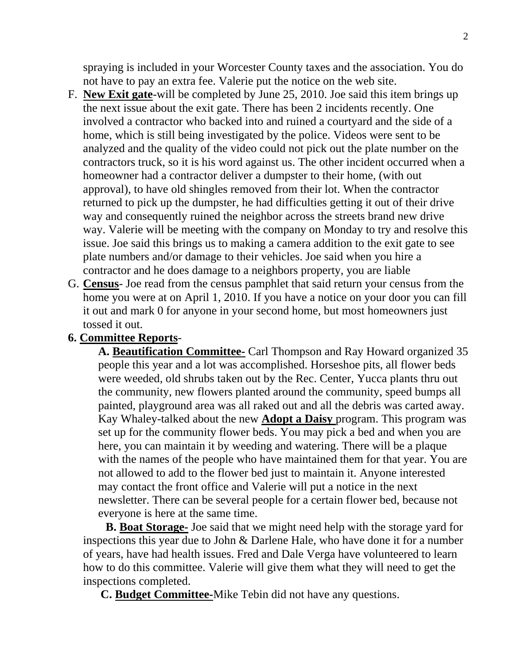spraying is included in your Worcester County taxes and the association. You do not have to pay an extra fee. Valerie put the notice on the web site.

- F. **New Exit gate**-will be completed by June 25, 2010. Joe said this item brings up the next issue about the exit gate. There has been 2 incidents recently. One involved a contractor who backed into and ruined a courtyard and the side of a home, which is still being investigated by the police. Videos were sent to be analyzed and the quality of the video could not pick out the plate number on the contractors truck, so it is his word against us. The other incident occurred when a homeowner had a contractor deliver a dumpster to their home, (with out approval), to have old shingles removed from their lot. When the contractor returned to pick up the dumpster, he had difficulties getting it out of their drive way and consequently ruined the neighbor across the streets brand new drive way. Valerie will be meeting with the company on Monday to try and resolve this issue. Joe said this brings us to making a camera addition to the exit gate to see plate numbers and/or damage to their vehicles. Joe said when you hire a contractor and he does damage to a neighbors property, you are liable
- G. **Census** Joe read from the census pamphlet that said return your census from the home you were at on April 1, 2010. If you have a notice on your door you can fill it out and mark 0 for anyone in your second home, but most homeowners just tossed it out.

## **6. Committee Reports**-

**A. Beautification Committee-** Carl Thompson and Ray Howard organized 35 people this year and a lot was accomplished. Horseshoe pits, all flower beds were weeded, old shrubs taken out by the Rec. Center, Yucca plants thru out the community, new flowers planted around the community, speed bumps all painted, playground area was all raked out and all the debris was carted away. Kay Whaley-talked about the new **Adopt a Daisy** program. This program was set up for the community flower beds. You may pick a bed and when you are here, you can maintain it by weeding and watering. There will be a plaque with the names of the people who have maintained them for that year. You are not allowed to add to the flower bed just to maintain it. Anyone interested may contact the front office and Valerie will put a notice in the next newsletter. There can be several people for a certain flower bed, because not everyone is here at the same time.

**B. Boat Storage-** Joe said that we might need help with the storage yard for inspections this year due to John & Darlene Hale, who have done it for a number of years, have had health issues. Fred and Dale Verga have volunteered to learn how to do this committee. Valerie will give them what they will need to get the inspections completed.

 **C. Budget Committee-**Mike Tebin did not have any questions.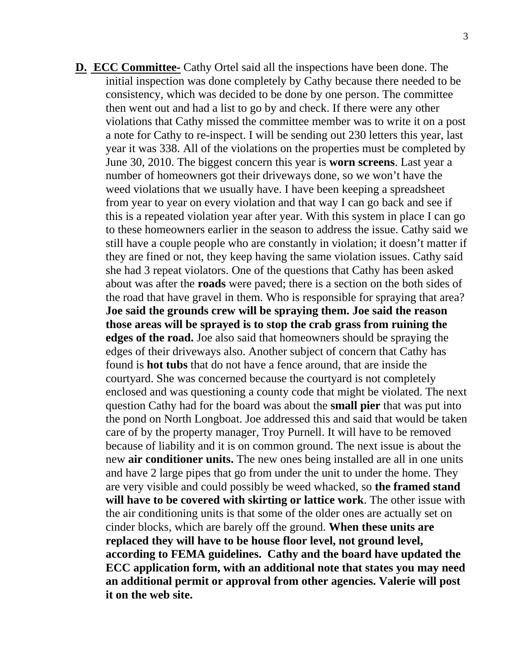**D. ECC Committee-** Cathy Ortel said all the inspections have been done. The initial inspection was done completely by Cathy because there needed to be consistency, which was decided to be done by one person. The committee then went out and had a list to go by and check. If there were any other violations that Cathy missed the committee member was to write it on a post a note for Cathy to re-inspect. I will be sending out 230 letters this year, last year it was 338. All of the violations on the properties must be completed by June 30, 2010. The biggest concern this year is **worn screens**. Last year a number of homeowners got their driveways done, so we won't have the weed violations that we usually have. I have been keeping a spreadsheet from year to year on every violation and that way I can go back and see if this is a repeated violation year after year. With this system in place I can go to these homeowners earlier in the season to address the issue. Cathy said we still have a couple people who are constantly in violation; it doesn't matter if they are fined or not, they keep having the same violation issues. Cathy said she had 3 repeat violators. One of the questions that Cathy has been asked about was after the **roads** were paved; there is a section on the both sides of the road that have gravel in them. Who is responsible for spraying that area? **Joe said the grounds crew will be spraying them. Joe said the reason those areas will be sprayed is to stop the crab grass from ruining the edges of the road.** Joe also said that homeowners should be spraying the edges of their driveways also. Another subject of concern that Cathy has found is **hot tubs** that do not have a fence around, that are inside the courtyard. She was concerned because the courtyard is not completely enclosed and was questioning a county code that might be violated. The next question Cathy had for the board was about the **small pier** that was put into the pond on North Longboat. Joe addressed this and said that would be taken care of by the property manager, Troy Purnell. It will have to be removed because of liability and it is on common ground. The next issue is about the new **air conditioner units.** The new ones being installed are all in one units and have 2 large pipes that go from under the unit to under the home. They are very visible and could possibly be weed whacked, so **the framed stand will have to be covered with skirting or lattice work**. The other issue with the air conditioning units is that some of the older ones are actually set on cinder blocks, which are barely off the ground. **When these units are replaced they will have to be house floor level, not ground level, according to FEMA guidelines. Cathy and the board have updated the ECC application form, with an additional note that states you may need an additional permit or approval from other agencies. Valerie will post it on the web site.**